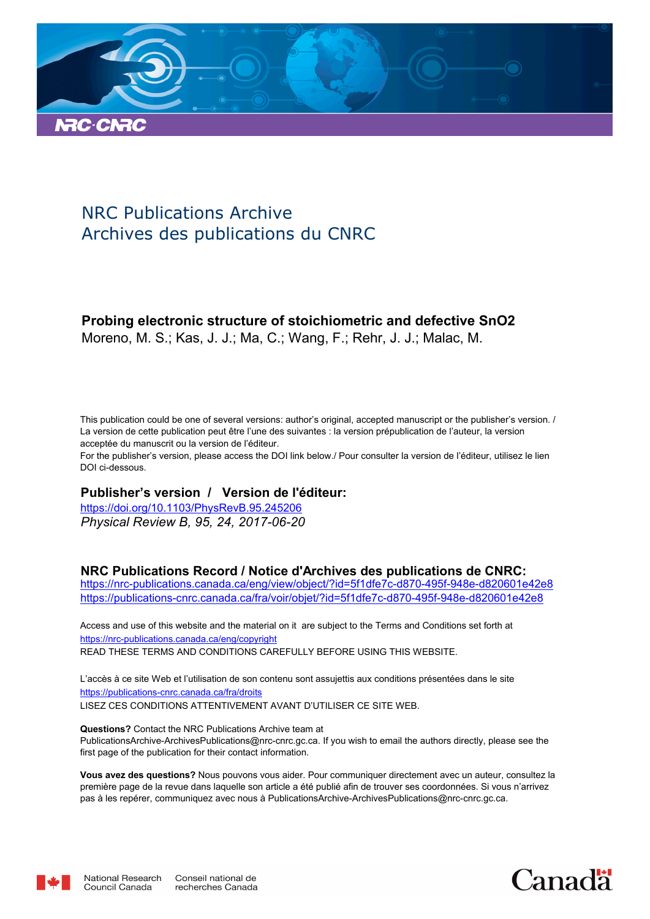

# NRC Publications Archive Archives des publications du CNRC

# **Probing electronic structure of stoichiometric and defective SnO2**

Moreno, M. S.; Kas, J. J.; Ma, C.; Wang, F.; Rehr, J. J.; Malac, M.

This publication could be one of several versions: author's original, accepted manuscript or the publisher's version. / La version de cette publication peut être l'une des suivantes : la version prépublication de l'auteur, la version acceptée du manuscrit ou la version de l'éditeur.

For the publisher's version, please access the DOI link below./ Pour consulter la version de l'éditeur, utilisez le lien DOI ci-dessous.

## **Publisher's version / Version de l'éditeur:**

*Physical Review B, 95, 24, 2017-06-20* https://doi.org/10.1103/PhysRevB.95.245206

# **NRC Publications Record / Notice d'Archives des publications de CNRC:**

https://nrc-publications.canada.ca/eng/view/object/?id=5f1dfe7c-d870-495f-948e-d820601e42e8 https://publications-cnrc.canada.ca/fra/voir/objet/?id=5f1dfe7c-d870-495f-948e-d820601e42e8

READ THESE TERMS AND CONDITIONS CAREFULLY BEFORE USING THIS WEBSITE. https://nrc-publications.canada.ca/eng/copyright Access and use of this website and the material on it are subject to the Terms and Conditions set forth at

https://publications-cnrc.canada.ca/fra/droits L'accès à ce site Web et l'utilisation de son contenu sont assujettis aux conditions présentées dans le site LISEZ CES CONDITIONS ATTENTIVEMENT AVANT D'UTILISER CE SITE WEB.

**Questions?** Contact the NRC Publications Archive team at PublicationsArchive-ArchivesPublications@nrc-cnrc.gc.ca. If you wish to email the authors directly, please see the first page of the publication for their contact information.

**Vous avez des questions?** Nous pouvons vous aider. Pour communiquer directement avec un auteur, consultez la première page de la revue dans laquelle son article a été publié afin de trouver ses coordonnées. Si vous n'arrivez pas à les repérer, communiquez avec nous à PublicationsArchive-ArchivesPublications@nrc-cnrc.gc.ca.



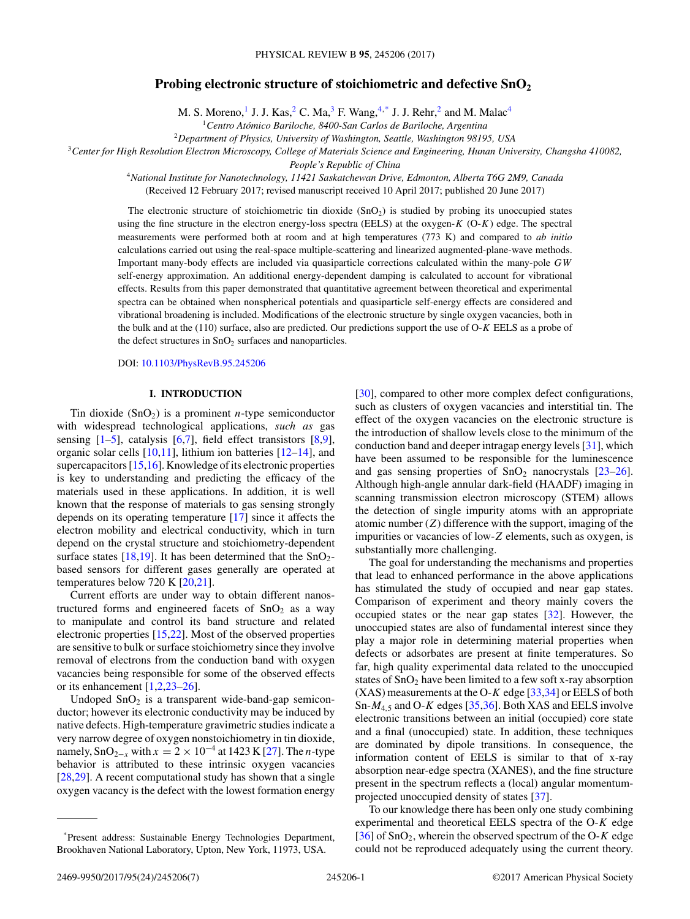### **Probing electronic structure of stoichiometric and defective SnO<sup>2</sup>**

M. S. Moreno,<sup>1</sup> J. J. Kas,<sup>2</sup> C. Ma,<sup>3</sup> F. Wang,<sup>4,\*</sup> J. J. Rehr,<sup>2</sup> and M. Malac<sup>4</sup>

<sup>1</sup>*Centro Atómico Bariloche, 8400-San Carlos de Bariloche, Argentina*

<sup>2</sup>*Department of Physics, University of Washington, Seattle, Washington 98195, USA*

<sup>3</sup>*Center for High Resolution Electron Microscopy, College of Materials Science and Engineering, Hunan University, Changsha 410082,*

*People's Republic of China*

<sup>4</sup>*National Institute for Nanotechnology, 11421 Saskatchewan Drive, Edmonton, Alberta T6G 2M9, Canada* (Received 12 February 2017; revised manuscript received 10 April 2017; published 20 June 2017)

The electronic structure of stoichiometric tin dioxide  $(SnO<sub>2</sub>)$  is studied by probing its unoccupied states using the fine structure in the electron energy-loss spectra (EELS) at the oxygen- $K$  (O- $K$ ) edge. The spectral measurements were performed both at room and at high temperatures (773 K) and compared to *ab initio* calculations carried out using the real-space multiple-scattering and linearized augmented-plane-wave methods. Important many-body effects are included via quasiparticle corrections calculated within the many-pole GW self-energy approximation. An additional energy-dependent damping is calculated to account for vibrational effects. Results from this paper demonstrated that quantitative agreement between theoretical and experimental spectra can be obtained when nonspherical potentials and quasiparticle self-energy effects are considered and vibrational broadening is included. Modifications of the electronic structure by single oxygen vacancies, both in the bulk and at the (110) surface, also are predicted. Our predictions support the use of O-K EELS as a probe of the defect structures in  $SnO<sub>2</sub>$  surfaces and nanoparticles.

DOI: [10.1103/PhysRevB.95.245206](https://doi.org/10.1103/PhysRevB.95.245206)

#### **I. INTRODUCTION**

Tin dioxide  $(SnO<sub>2</sub>)$  is a prominent *n*-type semiconductor with widespread technological applications, *such as* gas sensing  $[1–5]$ , catalysis  $[6,7]$ , field effect transistors  $[8,9]$ , organic solar cells [\[10,11\]](#page-7-0), lithium ion batteries [\[12–14\]](#page-7-0), and supercapacitors [\[15,16\]](#page-7-0). Knowledge of its electronic properties is key to understanding and predicting the efficacy of the materials used in these applications. In addition, it is well known that the response of materials to gas sensing strongly depends on its operating temperature [\[17\]](#page-7-0) since it affects the electron mobility and electrical conductivity, which in turn depend on the crystal structure and stoichiometry-dependent surface states [\[18,19\]](#page-7-0). It has been determined that the  $SnO<sub>2</sub>$ based sensors for different gases generally are operated at temperatures below 720 K [\[20,21\]](#page-7-0).

Current efforts are under way to obtain different nanostructured forms and engineered facets of  $SnO<sub>2</sub>$  as a way to manipulate and control its band structure and related electronic properties [\[15,22\]](#page-7-0). Most of the observed properties are sensitive to bulk or surface stoichiometry since they involve removal of electrons from the conduction band with oxygen vacancies being responsible for some of the observed effects or its enhancement  $[1,2,23-26]$ .

Undoped  $SnO<sub>2</sub>$  is a transparent wide-band-gap semiconductor; however its electronic conductivity may be induced by native defects. High-temperature gravimetric studies indicate a very narrow degree of oxygen nonstoichiometry in tin dioxide, namely, SnO<sub>2−x</sub> with  $x = 2 \times 10^{-4}$  at 1423 K [\[27\]](#page-7-0). The *n*-type behavior is attributed to these intrinsic oxygen vacancies [\[28,29\]](#page-7-0). A recent computational study has shown that a single oxygen vacancy is the defect with the lowest formation energy [\[30\]](#page-7-0), compared to other more complex defect configurations, such as clusters of oxygen vacancies and interstitial tin. The effect of the oxygen vacancies on the electronic structure is the introduction of shallow levels close to the minimum of the conduction band and deeper intragap energy levels [\[31\]](#page-7-0), which have been assumed to be responsible for the luminescence and gas sensing properties of  $SnO<sub>2</sub>$  nanocrystals  $[23-26]$ . Although high-angle annular dark-field (HAADF) imaging in scanning transmission electron microscopy (STEM) allows the detection of single impurity atoms with an appropriate atomic number  $(Z)$  difference with the support, imaging of the impurities or vacancies of low-Z elements, such as oxygen, is substantially more challenging.

The goal for understanding the mechanisms and properties that lead to enhanced performance in the above applications has stimulated the study of occupied and near gap states. Comparison of experiment and theory mainly covers the occupied states or the near gap states [\[32\]](#page-7-0). However, the unoccupied states are also of fundamental interest since they play a major role in determining material properties when defects or adsorbates are present at finite temperatures. So far, high quality experimental data related to the unoccupied states of  $SnO<sub>2</sub>$  have been limited to a few soft x-ray absorption  $(XAS)$  measurements at the O-K edge [\[33,34\]](#page-7-0) or EELS of both Sn- $M_{4,5}$  and O-K edges [\[35,36\]](#page-7-0). Both XAS and EELS involve electronic transitions between an initial (occupied) core state and a final (unoccupied) state. In addition, these techniques are dominated by dipole transitions. In consequence, the information content of EELS is similar to that of x-ray absorption near-edge spectra (XANES), and the fine structure present in the spectrum reflects a (local) angular momentumprojected unoccupied density of states [\[37\]](#page-7-0).

To our knowledge there has been only one study combining experimental and theoretical EELS spectra of the  $O-K$  edge [ $36$ ] of SnO<sub>2</sub>, wherein the observed spectrum of the O-K edge could not be reproduced adequately using the current theory.

<sup>\*</sup>Present address: Sustainable Energy Technologies Department, Brookhaven National Laboratory, Upton, New York, 11973, USA.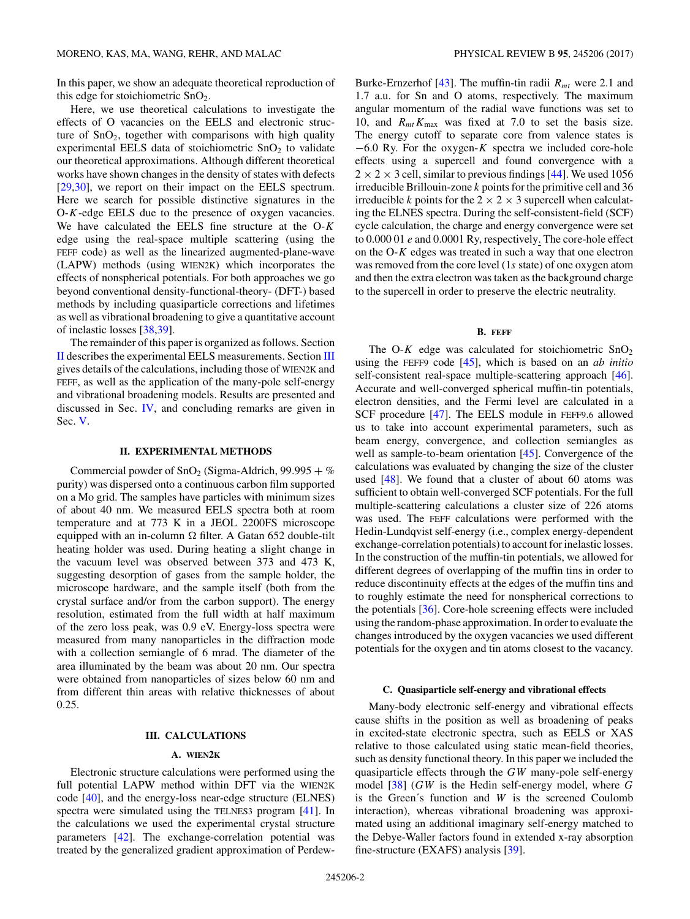<span id="page-2-0"></span>In this paper, we show an adequate theoretical reproduction of this edge for stoichiometric  $SnO<sub>2</sub>$ .

Here, we use theoretical calculations to investigate the effects of O vacancies on the EELS and electronic structure of  $SnO<sub>2</sub>$ , together with comparisons with high quality experimental EELS data of stoichiometric  $SnO<sub>2</sub>$  to validate our theoretical approximations. Although different theoretical works have shown changes in the density of states with defects [\[29,30\]](#page-7-0), we report on their impact on the EELS spectrum. Here we search for possible distinctive signatures in the O-K-edge EELS due to the presence of oxygen vacancies. We have calculated the EELS fine structure at the  $O-K$ edge using the real-space multiple scattering (using the FEFF code) as well as the linearized augmented-plane-wave (LAPW) methods (using WIEN2K) which incorporates the effects of nonspherical potentials. For both approaches we go beyond conventional density-functional-theory- (DFT-) based methods by including quasiparticle corrections and lifetimes as well as vibrational broadening to give a quantitative account of inelastic losses [\[38,39\]](#page-7-0).

The remainder of this paper is organized as follows. Section II describes the experimental EELS measurements. Section III gives details of the calculations, including those of WIEN2K and FEFF, as well as the application of the many-pole self-energy and vibrational broadening models. Results are presented and discussed in Sec. [IV,](#page-3-0) and concluding remarks are given in Sec. [V.](#page-6-0)

#### **II. EXPERIMENTAL METHODS**

Commercial powder of  $SnO<sub>2</sub>$  (Sigma-Aldrich, 99.995 + %) purity) was dispersed onto a continuous carbon film supported on a Mo grid. The samples have particles with minimum sizes of about 40 nm. We measured EELS spectra both at room temperature and at 773 K in a JEOL 2200FS microscope equipped with an in-column  $\Omega$  filter. A Gatan 652 double-tilt heating holder was used. During heating a slight change in the vacuum level was observed between 373 and 473 K, suggesting desorption of gases from the sample holder, the microscope hardware, and the sample itself (both from the crystal surface and/or from the carbon support). The energy resolution, estimated from the full width at half maximum of the zero loss peak, was 0.9 eV. Energy-loss spectra were measured from many nanoparticles in the diffraction mode with a collection semiangle of 6 mrad. The diameter of the area illuminated by the beam was about 20 nm. Our spectra were obtained from nanoparticles of sizes below 60 nm and from different thin areas with relative thicknesses of about 0.25.

#### **III. CALCULATIONS**

#### **A. WIEN2K**

Electronic structure calculations were performed using the full potential LAPW method within DFT via the WIEN2K code [\[40\]](#page-7-0), and the energy-loss near-edge structure (ELNES) spectra were simulated using the TELNES3 program [\[41\]](#page-7-0). In the calculations we used the experimental crystal structure parameters [\[42\]](#page-7-0). The exchange-correlation potential was treated by the generalized gradient approximation of PerdewBurke-Ernzerhof [\[43\]](#page-7-0). The muffin-tin radii  $R_{mt}$  were 2.1 and 1.7 a.u. for Sn and O atoms, respectively. The maximum angular momentum of the radial wave functions was set to 10, and  $R_{mt}K_{\text{max}}$  was fixed at 7.0 to set the basis size. The energy cutoff to separate core from valence states is  $-6.0$  Ry. For the oxygen-K spectra we included core-hole effects using a supercell and found convergence with a  $2 \times 2 \times 3$  cell, similar to previous findings [\[44\]](#page-7-0). We used 1056 irreducible Brillouin-zone k points for the primitive cell and 36 irreducible k points for the  $2 \times 2 \times 3$  supercell when calculating the ELNES spectra. During the self-consistent-field (SCF) cycle calculation, the charge and energy convergence were set to 0.000 01 e and 0.0001 Ry, respectively. The core-hole effect on the  $O-K$  edges was treated in such a way that one electron was removed from the core level (1s state) of one oxygen atom and then the extra electron was taken as the background charge to the supercell in order to preserve the electric neutrality.

#### **B. FEFF**

The O-K edge was calculated for stoichiometric  $SnO<sub>2</sub>$ using the FEFF9 code [\[45\]](#page-7-0), which is based on an *ab initio* self-consistent real-space multiple-scattering approach [\[46\]](#page-7-0). Accurate and well-converged spherical muffin-tin potentials, electron densities, and the Fermi level are calculated in a SCF procedure [\[47\]](#page-7-0). The EELS module in FEFF9.6 allowed us to take into account experimental parameters, such as beam energy, convergence, and collection semiangles as well as sample-to-beam orientation [\[45\]](#page-7-0). Convergence of the calculations was evaluated by changing the size of the cluster used  $[48]$ . We found that a cluster of about 60 atoms was sufficient to obtain well-converged SCF potentials. For the full multiple-scattering calculations a cluster size of 226 atoms was used. The FEFF calculations were performed with the Hedin-Lundqvist self-energy (i.e., complex energy-dependent exchange-correlation potentials) to account for inelastic losses. In the construction of the muffin-tin potentials, we allowed for different degrees of overlapping of the muffin tins in order to reduce discontinuity effects at the edges of the muffin tins and to roughly estimate the need for nonspherical corrections to the potentials [\[36\]](#page-7-0). Core-hole screening effects were included using the random-phase approximation. In order to evaluate the changes introduced by the oxygen vacancies we used different potentials for the oxygen and tin atoms closest to the vacancy.

#### **C. Quasiparticle self-energy and vibrational effects**

Many-body electronic self-energy and vibrational effects cause shifts in the position as well as broadening of peaks in excited-state electronic spectra, such as EELS or XAS relative to those calculated using static mean-field theories, such as density functional theory. In this paper we included the quasiparticle effects through the GW many-pole self-energy model  $[38]$  (GW is the Hedin self-energy model, where G is the Green's function and  $W$  is the screened Coulomb interaction), whereas vibrational broadening was approximated using an additional imaginary self-energy matched to the Debye-Waller factors found in extended x-ray absorption fine-structure (EXAFS) analysis [\[39\]](#page-7-0).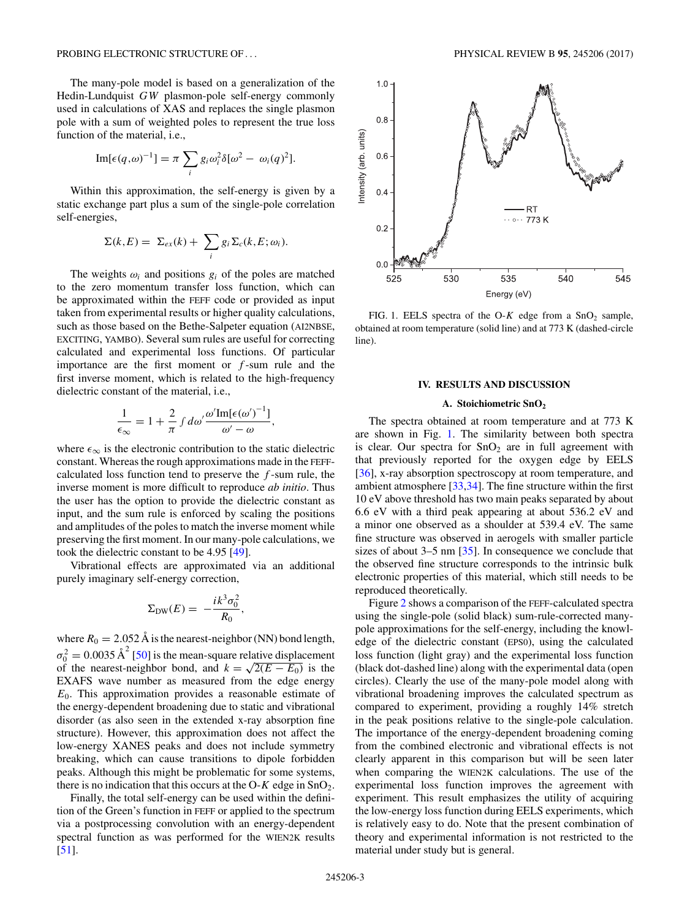<span id="page-3-0"></span>The many-pole model is based on a generalization of the Hedin-Lundquist GW plasmon-pole self-energy commonly used in calculations of XAS and replaces the single plasmon pole with a sum of weighted poles to represent the true loss function of the material, i.e.,

Im[
$$
\epsilon(q,\omega)^{-1}
$$
] =  $\pi \sum_{i} g_i \omega_i^2 \delta[\omega^2 - \omega_i(q)^2]$ .

Within this approximation, the self-energy is given by a static exchange part plus a sum of the single-pole correlation self-energies,

$$
\Sigma(k, E) = \Sigma_{ex}(k) + \sum_i g_i \Sigma_c(k, E; \omega_i).
$$

The weights  $\omega_i$  and positions  $g_i$  of the poles are matched to the zero momentum transfer loss function, which can be approximated within the FEFF code or provided as input taken from experimental results or higher quality calculations, such as those based on the Bethe-Salpeter equation (AI2NBSE, EXCITING, YAMBO). Several sum rules are useful for correcting calculated and experimental loss functions. Of particular importance are the first moment or  $f$ -sum rule and the first inverse moment, which is related to the high-frequency dielectric constant of the material, i.e.,

$$
\frac{1}{\epsilon_{\infty}} = 1 + \frac{2}{\pi} \int d\omega' \frac{\omega' \text{Im}[\epsilon(\omega')^{-1}]}{\omega' - \omega},
$$

where  $\epsilon_{\infty}$  is the electronic contribution to the static dielectric constant. Whereas the rough approximations made in the FEFFcalculated loss function tend to preserve the  $f$ -sum rule, the inverse moment is more difficult to reproduce *ab initio*. Thus the user has the option to provide the dielectric constant as input, and the sum rule is enforced by scaling the positions and amplitudes of the poles to match the inverse moment while preserving the first moment. In our many-pole calculations, we took the dielectric constant to be 4.95 [\[49\]](#page-7-0).

Vibrational effects are approximated via an additional purely imaginary self-energy correction,

$$
\Sigma_{\rm DW}(E) = -\frac{i k^3 \sigma_0^2}{R_0}
$$

,

where  $R_0 = 2.052 \text{ Å}$  is the nearest-neighbor (NN) bond length,  $\sigma_0^2 = 0.0035 \text{ Å}^2$  [\[50\]](#page-7-0) is the mean-square relative displacement of the nearest-neighbor bond, and  $k = \sqrt{2(E - E_0)}$  is the EXAFS wave number as measured from the edge energy  $E<sub>0</sub>$ . This approximation provides a reasonable estimate of the energy-dependent broadening due to static and vibrational disorder (as also seen in the extended x-ray absorption fine structure). However, this approximation does not affect the low-energy XANES peaks and does not include symmetry breaking, which can cause transitions to dipole forbidden peaks. Although this might be problematic for some systems, there is no indication that this occurs at the O-K edge in  $SnO<sub>2</sub>$ .

Finally, the total self-energy can be used within the definition of the Green's function in FEFF or applied to the spectrum via a postprocessing convolution with an energy-dependent spectral function as was performed for the WIEN2K results [\[51\]](#page-7-0).



FIG. 1. EELS spectra of the O-K edge from a  $SnO<sub>2</sub>$  sample, obtained at room temperature (solid line) and at 773 K (dashed-circle line).

#### **IV. RESULTS AND DISCUSSION**

#### **A. Stoichiometric SnO<sup>2</sup>**

The spectra obtained at room temperature and at 773 K are shown in Fig. 1. The similarity between both spectra is clear. Our spectra for  $SnO<sub>2</sub>$  are in full agreement with that previously reported for the oxygen edge by EELS [\[36\]](#page-7-0), x-ray absorption spectroscopy at room temperature, and ambient atmosphere [\[33,34\]](#page-7-0). The fine structure within the first 10 eV above threshold has two main peaks separated by about 6.6 eV with a third peak appearing at about 536.2 eV and a minor one observed as a shoulder at 539.4 eV. The same fine structure was observed in aerogels with smaller particle sizes of about 3–5 nm [\[35\]](#page-7-0). In consequence we conclude that the observed fine structure corresponds to the intrinsic bulk electronic properties of this material, which still needs to be reproduced theoretically.

Figure [2](#page-4-0) shows a comparison of the FEFF-calculated spectra using the single-pole (solid black) sum-rule-corrected manypole approximations for the self-energy, including the knowledge of the dielectric constant (EPS0), using the calculated loss function (light gray) and the experimental loss function (black dot-dashed line) along with the experimental data (open circles). Clearly the use of the many-pole model along with vibrational broadening improves the calculated spectrum as compared to experiment, providing a roughly 14% stretch in the peak positions relative to the single-pole calculation. The importance of the energy-dependent broadening coming from the combined electronic and vibrational effects is not clearly apparent in this comparison but will be seen later when comparing the WIEN2K calculations. The use of the experimental loss function improves the agreement with experiment. This result emphasizes the utility of acquiring the low-energy loss function during EELS experiments, which is relatively easy to do. Note that the present combination of theory and experimental information is not restricted to the material under study but is general.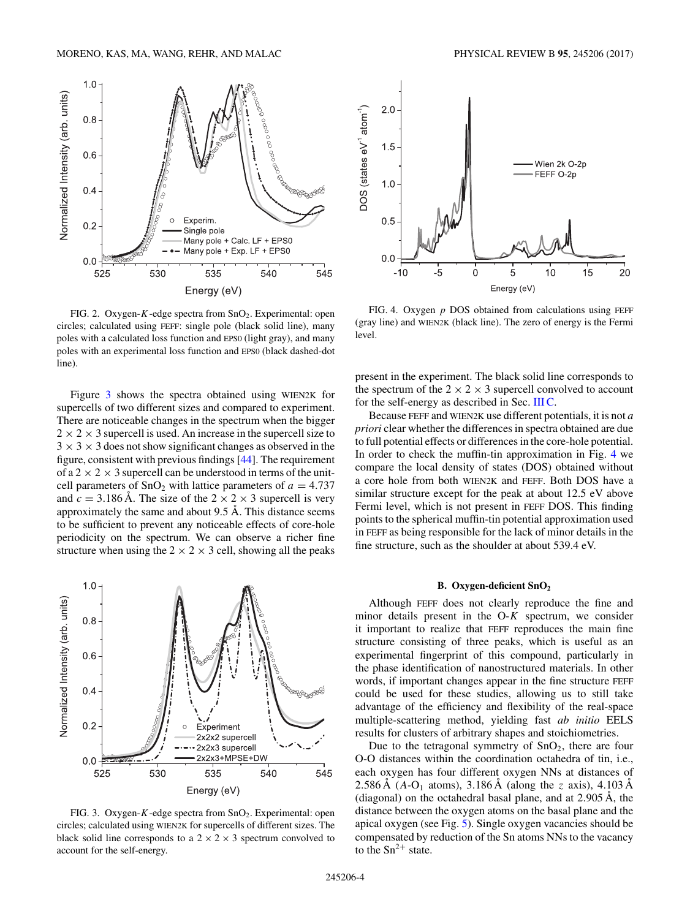<span id="page-4-0"></span>

FIG. 2. Oxygen-K-edge spectra from  $SnO<sub>2</sub>$ . Experimental: open circles; calculated using FEFF: single pole (black solid line), many poles with a calculated loss function and EPS0 (light gray), and many poles with an experimental loss function and EPS0 (black dashed-dot line).

Figure 3 shows the spectra obtained using WIEN2K for supercells of two different sizes and compared to experiment. There are noticeable changes in the spectrum when the bigger  $2 \times 2 \times 3$  supercell is used. An increase in the supercell size to  $3 \times 3 \times 3$  does not show significant changes as observed in the figure, consistent with previous findings [\[44\]](#page-7-0). The requirement of a  $2 \times 2 \times 3$  supercell can be understood in terms of the unitcell parameters of  $SnO<sub>2</sub>$  with lattice parameters of  $a = 4.737$ and  $c = 3.186$  Å. The size of the  $2 \times 2 \times 3$  supercell is very approximately the same and about  $9.5 \text{ Å}$ . This distance seems to be sufficient to prevent any noticeable effects of core-hole periodicity on the spectrum. We can observe a richer fine structure when using the  $2 \times 2 \times 3$  cell, showing all the peaks



FIG. 3. Oxygen-K-edge spectra from SnO<sub>2</sub>. Experimental: open circles; calculated using WIEN2K for supercells of different sizes. The black solid line corresponds to a  $2 \times 2 \times 3$  spectrum convolved to account for the self-energy.



FIG. 4. Oxygen  $p$  DOS obtained from calculations using FEFF (gray line) and WIEN2K (black line). The zero of energy is the Fermi level.

present in the experiment. The black solid line corresponds to the spectrum of the  $2 \times 2 \times 3$  supercell convolved to account for the self-energy as described in Sec. [III C.](#page-2-0)

Because FEFF and WIEN2K use different potentials, it is not *a priori* clear whether the differences in spectra obtained are due to full potential effects or differences in the core-hole potential. In order to check the muffin-tin approximation in Fig. 4 we compare the local density of states (DOS) obtained without a core hole from both WIEN2K and FEFF. Both DOS have a similar structure except for the peak at about 12.5 eV above Fermi level, which is not present in FEFF DOS. This finding points to the spherical muffin-tin potential approximation used in FEFF as being responsible for the lack of minor details in the fine structure, such as the shoulder at about 539.4 eV.

#### **B. Oxygen-deficient SnO<sup>2</sup>**

Although FEFF does not clearly reproduce the fine and minor details present in the  $O-K$  spectrum, we consider it important to realize that FEFF reproduces the main fine structure consisting of three peaks, which is useful as an experimental fingerprint of this compound, particularly in the phase identification of nanostructured materials. In other words, if important changes appear in the fine structure FEFF could be used for these studies, allowing us to still take advantage of the efficiency and flexibility of the real-space multiple-scattering method, yielding fast *ab initio* EELS results for clusters of arbitrary shapes and stoichiometries.

Due to the tetragonal symmetry of  $SnO<sub>2</sub>$ , there are four O-O distances within the coordination octahedra of tin, i.e., each oxygen has four different oxygen NNs at distances of 2.586 Å ( $A-O_1$  atoms), 3.186 Å (along the z axis), 4.103 Å (diagonal) on the octahedral basal plane, and at  $2.905 \text{ Å}$ , the distance between the oxygen atoms on the basal plane and the apical oxygen (see Fig. [5\)](#page-5-0). Single oxygen vacancies should be compensated by reduction of the Sn atoms NNs to the vacancy to the  $Sn^{2+}$  state.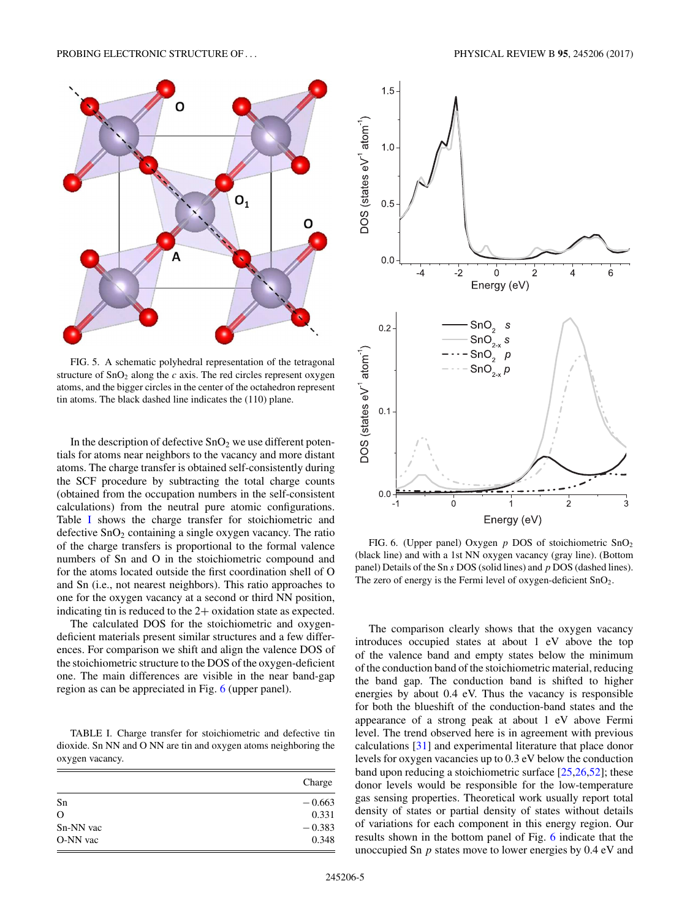<span id="page-5-0"></span>

FIG. 5. A schematic polyhedral representation of the tetragonal structure of  $SnO<sub>2</sub>$  along the c axis. The red circles represent oxygen atoms, and the bigger circles in the center of the octahedron represent tin atoms. The black dashed line indicates the (110) plane.

In the description of defective  $SnO<sub>2</sub>$  we use different potentials for atoms near neighbors to the vacancy and more distant atoms. The charge transfer is obtained self-consistently during the SCF procedure by subtracting the total charge counts (obtained from the occupation numbers in the self-consistent calculations) from the neutral pure atomic configurations. Table I shows the charge transfer for stoichiometric and defective  $SnO<sub>2</sub>$  containing a single oxygen vacancy. The ratio of the charge transfers is proportional to the formal valence numbers of Sn and O in the stoichiometric compound and for the atoms located outside the first coordination shell of O and Sn (i.e., not nearest neighbors). This ratio approaches to one for the oxygen vacancy at a second or third NN position, indicating tin is reduced to the 2+ oxidation state as expected.

The calculated DOS for the stoichiometric and oxygendeficient materials present similar structures and a few differences. For comparison we shift and align the valence DOS of the stoichiometric structure to the DOS of the oxygen-deficient one. The main differences are visible in the near band-gap region as can be appreciated in Fig. 6 (upper panel).

TABLE I. Charge transfer for stoichiometric and defective tin dioxide. Sn NN and O NN are tin and oxygen atoms neighboring the oxygen vacancy.

|           | Charge   |
|-----------|----------|
| Sn        | $-0.663$ |
| $\Omega$  | 0.331    |
| Sn-NN vac | $-0.383$ |
| O-NN vac  | 0.348    |



FIG. 6. (Upper panel) Oxygen  $p$  DOS of stoichiometric  $SnO<sub>2</sub>$ (black line) and with a 1st NN oxygen vacancy (gray line). (Bottom panel) Details of the Sn s DOS (solid lines) and p DOS (dashed lines). The zero of energy is the Fermi level of oxygen-deficient  $SnO<sub>2</sub>$ .

The comparison clearly shows that the oxygen vacancy introduces occupied states at about 1 eV above the top of the valence band and empty states below the minimum of the conduction band of the stoichiometric material, reducing the band gap. The conduction band is shifted to higher energies by about 0.4 eV. Thus the vacancy is responsible for both the blueshift of the conduction-band states and the appearance of a strong peak at about 1 eV above Fermi level. The trend observed here is in agreement with previous calculations [\[31\]](#page-7-0) and experimental literature that place donor levels for oxygen vacancies up to 0.3 eV below the conduction band upon reducing a stoichiometric surface [\[25,26,52\]](#page-7-0); these donor levels would be responsible for the low-temperature gas sensing properties. Theoretical work usually report total density of states or partial density of states without details of variations for each component in this energy region. Our results shown in the bottom panel of Fig. 6 indicate that the unoccupied Sn  $p$  states move to lower energies by 0.4 eV and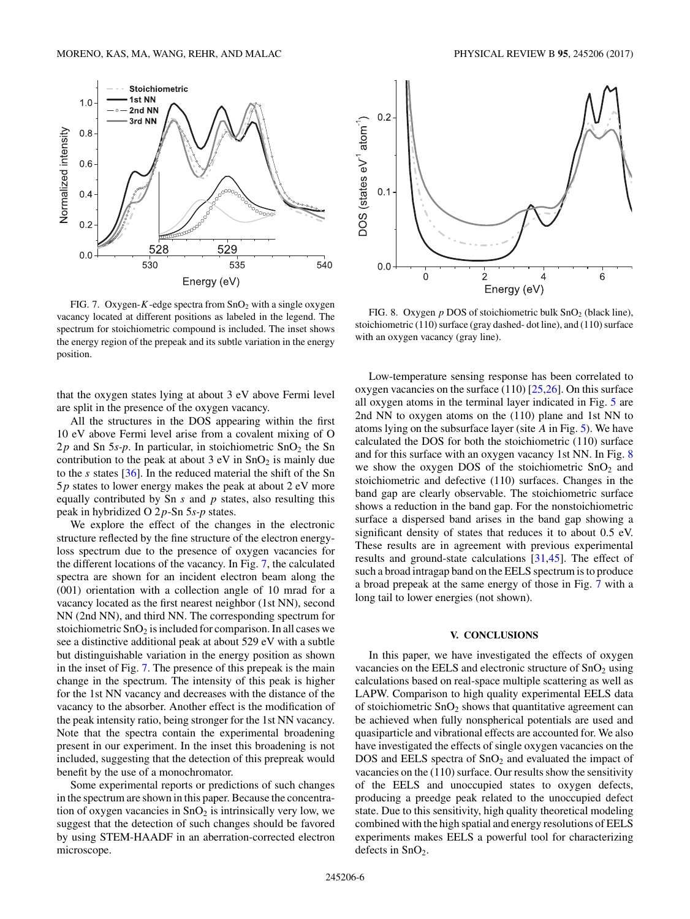<span id="page-6-0"></span>

FIG. 7. Oxygen-K-edge spectra from  $SnO<sub>2</sub>$  with a single oxygen vacancy located at different positions as labeled in the legend. The spectrum for stoichiometric compound is included. The inset shows the energy region of the prepeak and its subtle variation in the energy position.

that the oxygen states lying at about 3 eV above Fermi level are split in the presence of the oxygen vacancy.

All the structures in the DOS appearing within the first 10 eV above Fermi level arise from a covalent mixing of O  $2p$  and Sn 5*s-p*. In particular, in stoichiometric SnO<sub>2</sub> the Sn contribution to the peak at about  $3 \text{ eV}$  in  $\text{SnO}_2$  is mainly due to the s states [\[36\]](#page-7-0). In the reduced material the shift of the Sn  $5p$  states to lower energy makes the peak at about 2 eV more equally contributed by Sn  $s$  and  $p$  states, also resulting this peak in hybridized O 2p-Sn 5*s-p* states.

We explore the effect of the changes in the electronic structure reflected by the fine structure of the electron energyloss spectrum due to the presence of oxygen vacancies for the different locations of the vacancy. In Fig. 7, the calculated spectra are shown for an incident electron beam along the (001) orientation with a collection angle of 10 mrad for a vacancy located as the first nearest neighbor (1st NN), second NN (2nd NN), and third NN. The corresponding spectrum for stoichiometric  $SnO<sub>2</sub>$  is included for comparison. In all cases we see a distinctive additional peak at about 529 eV with a subtle but distinguishable variation in the energy position as shown in the inset of Fig. 7. The presence of this prepeak is the main change in the spectrum. The intensity of this peak is higher for the 1st NN vacancy and decreases with the distance of the vacancy to the absorber. Another effect is the modification of the peak intensity ratio, being stronger for the 1st NN vacancy. Note that the spectra contain the experimental broadening present in our experiment. In the inset this broadening is not included, suggesting that the detection of this prepreak would benefit by the use of a monochromator.

Some experimental reports or predictions of such changes in the spectrum are shown in this paper. Because the concentration of oxygen vacancies in  $SnO<sub>2</sub>$  is intrinsically very low, we suggest that the detection of such changes should be favored by using STEM-HAADF in an aberration-corrected electron microscope.



FIG. 8. Oxygen  $p$  DOS of stoichiometric bulk  $SnO<sub>2</sub>$  (black line), stoichiometric (110) surface (gray dashed- dot line), and (110) surface with an oxygen vacancy (gray line).

Low-temperature sensing response has been correlated to oxygen vacancies on the surface (110) [\[25,26\]](#page-7-0). On this surface all oxygen atoms in the terminal layer indicated in Fig. [5](#page-5-0) are 2nd NN to oxygen atoms on the (110) plane and 1st NN to atoms lying on the subsurface layer (site A in Fig. [5\)](#page-5-0). We have calculated the DOS for both the stoichiometric (110) surface and for this surface with an oxygen vacancy 1st NN. In Fig. 8 we show the oxygen DOS of the stoichiometric  $SnO<sub>2</sub>$  and stoichiometric and defective (110) surfaces. Changes in the band gap are clearly observable. The stoichiometric surface shows a reduction in the band gap. For the nonstoichiometric surface a dispersed band arises in the band gap showing a significant density of states that reduces it to about 0.5 eV. These results are in agreement with previous experimental results and ground-state calculations [\[31,45\]](#page-7-0). The effect of such a broad intragap band on the EELS spectrum is to produce a broad prepeak at the same energy of those in Fig. 7 with a long tail to lower energies (not shown).

#### **V. CONCLUSIONS**

In this paper, we have investigated the effects of oxygen vacancies on the EELS and electronic structure of  $SnO<sub>2</sub>$  using calculations based on real-space multiple scattering as well as LAPW. Comparison to high quality experimental EELS data of stoichiometric  $SnO<sub>2</sub>$  shows that quantitative agreement can be achieved when fully nonspherical potentials are used and quasiparticle and vibrational effects are accounted for. We also have investigated the effects of single oxygen vacancies on the DOS and EELS spectra of  $SnO<sub>2</sub>$  and evaluated the impact of vacancies on the (110) surface. Our results show the sensitivity of the EELS and unoccupied states to oxygen defects, producing a preedge peak related to the unoccupied defect state. Due to this sensitivity, high quality theoretical modeling combined with the high spatial and energy resolutions of EELS experiments makes EELS a powerful tool for characterizing defects in  $SnO<sub>2</sub>$ .